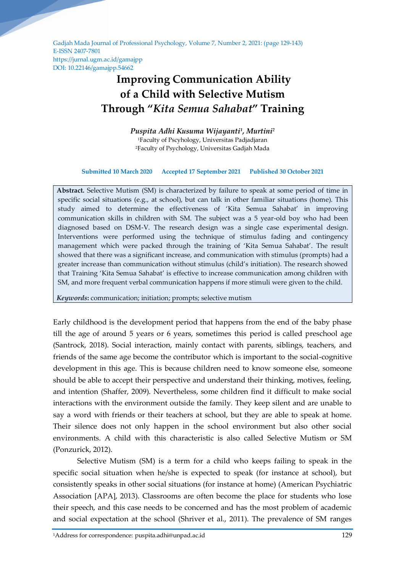Gadjah Mada Journal of Professional Psychology, Volume 7, Number 2, 2021: (page 129-143) E-ISSN 2407-7801 https://jurnal.ugm.ac.id/gamajpp DOI: 10.22146/gamajpp.54662

# **Improving Communication Ability of a Child with Selective Mutism Through "***Kita Semua Sahabat***" Training**

*Puspita Adhi Kusuma Wijayanti<sup>1</sup> , Murtini<sup>2</sup>* <sup>1</sup>Faculty of Pscyhology, Universitas Padjadjaran <sup>2</sup>Faculty of Psychology, Universitas Gadjah Mada

#### **Submitted 10 March 2020 Accepted 17 September 2021 Published 30 October 2021**

**Abstract.** Selective Mutism (SM) is characterized by failure to speak at some period of time in specific social situations (e.g., at school), but can talk in other familiar situations (home). This study aimed to determine the effectiveness of 'Kita Semua Sahabat' in improving communication skills in children with SM. The subject was a 5 year-old boy who had been diagnosed based on DSM-V. The research design was a single case experimental design. Interventions were performed using the technique of stimulus fading and contingency management which were packed through the training of 'Kita Semua Sahabat'. The result showed that there was a significant increase, and communication with stimulus (prompts) had a greater increase than communication without stimulus (child's initiation). The research showed that Training 'Kita Semua Sahabat' is effective to increase communication among children with SM, and more frequent verbal communication happens if more stimuli were given to the child.

*Keywords***:** communication; initiation; prompts; selective mutism

Early childhood is the development period that happens from the end of the baby phase till the age of around 5 years or 6 years, sometimes this period is called preschool age (Santrock, 2018). Social interaction, mainly contact with parents, siblings, teachers, and friends of the same age become the contributor which is important to the social-cognitive development in this age. This is because children need to know someone else, someone should be able to accept their perspective and understand their thinking, motives, feeling, and intention (Shaffer, 2009). Nevertheless, some children find it difficult to make social interactions with the environment outside the family. They keep silent and are unable to say a word with friends or their teachers at school, but they are able to speak at home. Their silence does not only happen in the school environment but also other social environments. A child with this characteristic is also called Selective Mutism or SM (Ponzurick, 2012).

Selective Mutism (SM) is a term for a child who keeps failing to speak in the specific social situation when he/she is expected to speak (for instance at school), but consistently speaks in other social situations (for instance at home) (American Psychiatric Association [APA], 2013). Classrooms are often become the place for students who lose their speech, and this case needs to be concerned and has the most problem of academic and social expectation at the school (Shriver et al., 2011). The prevalence of SM ranges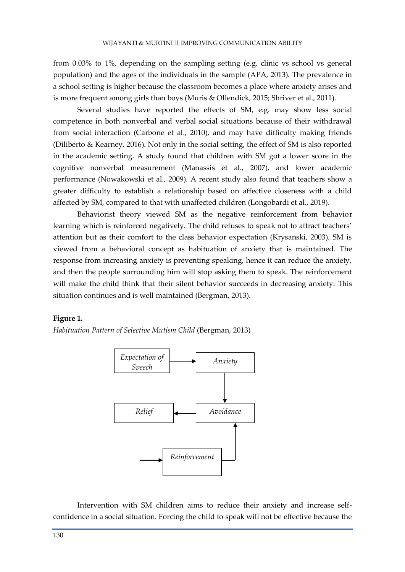from 0.03% to 1%, depending on the sampling setting (e.g. clinic vs school vs general population) and the ages of the individuals in the sample (APA, 2013). The prevalence in a school setting is higher because the classroom becomes a place where anxiety arises and is more frequent among girls than boys (Muris & Ollendick, 2015; Shriver et al., 2011).

Several studies have reported the effects of SM, e.g. may show less social competence in both nonverbal and verbal social situations because of their withdrawal from social interaction (Carbone et al., 2010), and may have difficulty making friends (Diliberto & Kearney, 2016). Not only in the social setting, the effect of SM is also reported in the academic setting. A study found that children with SM got a lower score in the cognitive nonverbal measurement (Manassis et al., 2007), and lower academic performance (Nowakowski et al., 2009). A recent study also found that teachers show a greater difficulty to establish a relationship based on affective closeness with a child affected by SM, compared to that with unaffected children (Longobardi et al., 2019).

Behaviorist theory viewed SM as the negative reinforcement from behavior learning which is reinforced negatively. The child refuses to speak not to attract teachers' attention but as their comfort to the class behavior expectation (Krysanski, 2003). SM is viewed from a behavioral concept as habituation of anxiety that is maintained. The response from increasing anxiety is preventing speaking, hence it can reduce the anxiety, and then the people surrounding him will stop asking them to speak. The reinforcement will make the child think that their silent behavior succeeds in decreasing anxiety. This situation continues and is well maintained (Bergman, 2013).

# **Figure 1.**

*Habituation Pattern of Selective Mutism Child* (Bergman, 2013)



Intervention with SM children aims to reduce their anxiety and increase selfconfidence in a social situation. Forcing the child to speak will not be effective because the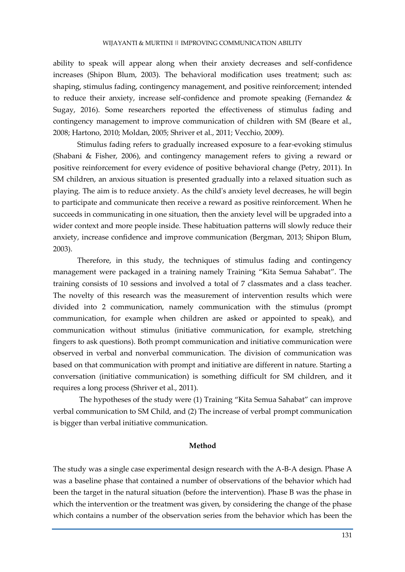ability to speak will appear along when their anxiety decreases and self-confidence increases (Shipon Blum, 2003). The behavioral modification uses treatment; such as: shaping, stimulus fading, contingency management, and positive reinforcement; intended to reduce their anxiety, increase self-confidence and promote speaking (Fernandez & Sugay, 2016). Some researchers reported the effectiveness of stimulus fading and contingency management to improve communication of children with SM (Beare et al., 2008; Hartono, 2010; Moldan, 2005; Shriver et al., 2011; Vecchio, 2009).

Stimulus fading refers to gradually increased exposure to a fear-evoking stimulus (Shabani & Fisher, 2006), and contingency management refers to giving a reward or positive reinforcement for every evidence of positive behavioral change (Petry, 2011). In SM children, an anxious situation is presented gradually into a relaxed situation such as playing. The aim is to reduce anxiety. As the child's anxiety level decreases, he will begin to participate and communicate then receive a reward as positive reinforcement. When he succeeds in communicating in one situation, then the anxiety level will be upgraded into a wider context and more people inside. These habituation patterns will slowly reduce their anxiety, increase confidence and improve communication (Bergman, 2013; Shipon Blum, 2003).

Therefore, in this study, the techniques of stimulus fading and contingency management were packaged in a training namely Training "Kita Semua Sahabat". The training consists of 10 sessions and involved a total of 7 classmates and a class teacher. The novelty of this research was the measurement of intervention results which were divided into 2 communication, namely communication with the stimulus (prompt communication, for example when children are asked or appointed to speak), and communication without stimulus (initiative communication, for example, stretching fingers to ask questions). Both prompt communication and initiative communication were observed in verbal and nonverbal communication. The division of communication was based on that communication with prompt and initiative are different in nature. Starting a conversation (initiative communication) is something difficult for SM children, and it requires a long process (Shriver et al., 2011).

The hypotheses of the study were (1) Training "Kita Semua Sahabat" can improve verbal communication to SM Child, and (2) The increase of verbal prompt communication is bigger than verbal initiative communication.

# **Method**

The study was a single case experimental design research with the A-B-A design. Phase A was a baseline phase that contained a number of observations of the behavior which had been the target in the natural situation (before the intervention). Phase B was the phase in which the intervention or the treatment was given, by considering the change of the phase which contains a number of the observation series from the behavior which has been the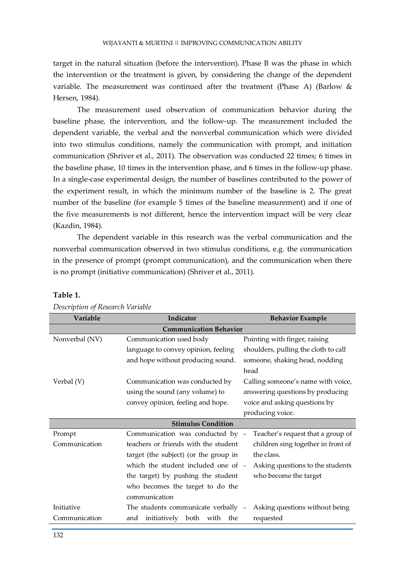target in the natural situation (before the intervention). Phase B was the phase in which the intervention or the treatment is given, by considering the change of the dependent variable. The measurement was continued after the treatment (Phase A) (Barlow & Hersen, 1984).

The measurement used observation of communication behavior during the baseline phase, the intervention, and the follow-up. The measurement included the dependent variable, the verbal and the nonverbal communication which were divided into two stimulus conditions, namely the communication with prompt, and initiation communication (Shriver et al., 2011). The observation was conducted 22 times; 6 times in the baseline phase, 10 times in the intervention phase, and 6 times in the follow-up phase. In a single-case experimental design, the number of baselines contributed to the power of the experiment result, in which the minimum number of the baseline is 2. The great number of the baseline (for example 5 times of the baseline measurement) and if one of the five measurements is not different, hence the intervention impact will be very clear (Kazdin, 1984).

The dependent variable in this research was the verbal communication and the nonverbal communication observed in two stimulus conditions, e.g. the communication in the presence of prompt (prompt communication), and the communication when there is no prompt (initiative communication) (Shriver et al., 2011).

| Variable                      | Indicator                               | <b>Behavior Example</b>              |  |  |  |
|-------------------------------|-----------------------------------------|--------------------------------------|--|--|--|
| <b>Communication Behavior</b> |                                         |                                      |  |  |  |
| Nonverbal (NV)                | Communication used body                 | Pointing with finger, raising        |  |  |  |
|                               | language to convey opinion, feeling     | shoulders, pulling the cloth to call |  |  |  |
|                               | and hope without producing sound.       | someone, shaking head, nodding       |  |  |  |
|                               |                                         | head                                 |  |  |  |
| Verbal (V)                    | Communication was conducted by          | Calling someone's name with voice,   |  |  |  |
|                               | using the sound (any volume) to         | answering questions by producing     |  |  |  |
|                               | convey opinion, feeling and hope.       | voice and asking questions by        |  |  |  |
|                               |                                         | producing voice.                     |  |  |  |
|                               | <b>Stimulus Condition</b>               |                                      |  |  |  |
| Prompt                        | Communication was conducted by -        | Teacher's request that a group of    |  |  |  |
| Communication                 | teachers or friends with the student    | children sing together in front of   |  |  |  |
|                               | target (the subject) (or the group in   | the class.                           |  |  |  |
|                               | which the student included one of -     | Asking questions to the students     |  |  |  |
|                               | the target) by pushing the student      | who become the target                |  |  |  |
|                               | who becomes the target to do the        |                                      |  |  |  |
|                               | communication                           |                                      |  |  |  |
| Initiative                    | The students communicate verbally -     | Asking questions without being       |  |  |  |
| Communication                 | initiatively both<br>and<br>with<br>the | requested                            |  |  |  |

# **Table 1.**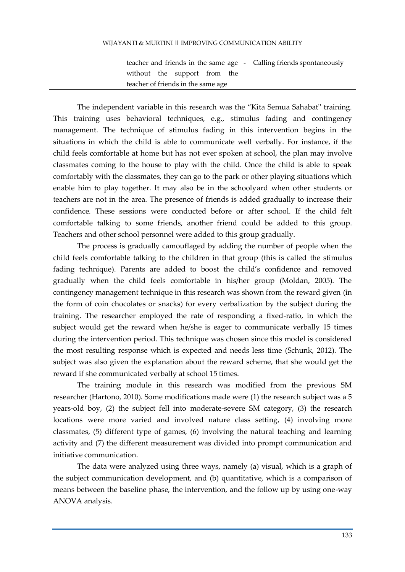#### WIJAYANTI & MURTINI || IMPROVING COMMUNICATION ABILITY

teacher and friends in the same age - Calling friends spontaneously without the support from the teacher of friends in the same age

The independent variable in this research was the "Kita Semua Sahabat'' training. This training uses behavioral techniques, e.g., stimulus fading and contingency management. The technique of stimulus fading in this intervention begins in the situations in which the child is able to communicate well verbally. For instance, if the child feels comfortable at home but has not ever spoken at school, the plan may involve classmates coming to the house to play with the child. Once the child is able to speak comfortably with the classmates, they can go to the park or other playing situations which enable him to play together. It may also be in the schoolyard when other students or teachers are not in the area. The presence of friends is added gradually to increase their confidence. These sessions were conducted before or after school. If the child felt comfortable talking to some friends, another friend could be added to this group. Teachers and other school personnel were added to this group gradually.

The process is gradually camouflaged by adding the number of people when the child feels comfortable talking to the children in that group (this is called the stimulus fading technique). Parents are added to boost the child's confidence and removed gradually when the child feels comfortable in his/her group (Moldan, 2005). The contingency management technique in this research was shown from the reward given (in the form of coin chocolates or snacks) for every verbalization by the subject during the training. The researcher employed the rate of responding a fixed-ratio, in which the subject would get the reward when he/she is eager to communicate verbally 15 times during the intervention period. This technique was chosen since this model is considered the most resulting response which is expected and needs less time (Schunk, 2012). The subject was also given the explanation about the reward scheme, that she would get the reward if she communicated verbally at school 15 times.

The training module in this research was modified from the previous SM researcher (Hartono, 2010). Some modifications made were (1) the research subject was a 5 years-old boy, (2) the subject fell into moderate-severe SM category, (3) the research locations were more varied and involved nature class setting, (4) involving more classmates, (5) different type of games, (6) involving the natural teaching and learning activity and (7) the different measurement was divided into prompt communication and initiative communication.

The data were analyzed using three ways, namely (a) visual, which is a graph of the subject communication development, and (b) quantitative, which is a comparison of means between the baseline phase, the intervention, and the follow up by using one-way ANOVA analysis.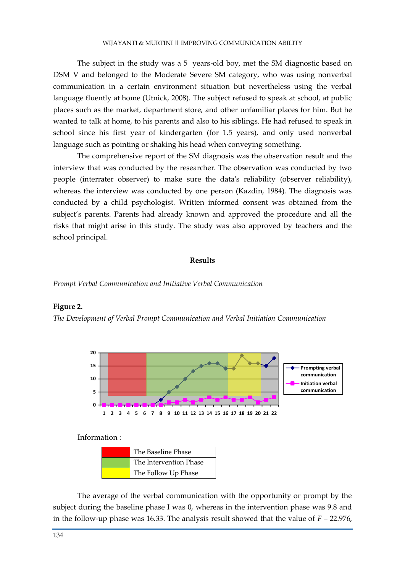The subject in the study was a 5 years-old boy, met the SM diagnostic based on DSM V and belonged to the Moderate Severe SM category, who was using nonverbal communication in a certain environment situation but nevertheless using the verbal language fluently at home (Utnick, 2008). The subject refused to speak at school, at public places such as the market, department store, and other unfamiliar places for him. But he wanted to talk at home, to his parents and also to his siblings. He had refused to speak in school since his first year of kindergarten (for 1.5 years), and only used nonverbal language such as pointing or shaking his head when conveying something.

The comprehensive report of the SM diagnosis was the observation result and the interview that was conducted by the researcher. The observation was conducted by two people (interrater observer) to make sure the data's reliability (observer reliability), whereas the interview was conducted by one person (Kazdin, 1984). The diagnosis was conducted by a child psychologist. Written informed consent was obtained from the subject's parents. Parents had already known and approved the procedure and all the risks that might arise in this study. The study was also approved by teachers and the school principal.

## **Results**

*Prompt Verbal Communication and Initiative Verbal Communication*

#### **Figure 2.**

*The Development of Verbal Prompt Communication and Verbal Initiation Communication*



Information :

| The Baseline Phase     |  |
|------------------------|--|
| The Intervention Phase |  |
| The Follow Up Phase    |  |

The average of the verbal communication with the opportunity or prompt by the subject during the baseline phase I was 0, whereas in the intervention phase was 9.8 and in the follow-up phase was 16.33. The analysis result showed that the value of  $F = 22.976$ ,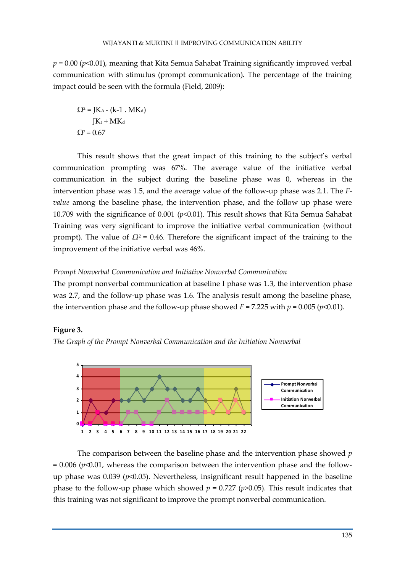$p = 0.00$  ( $p \le 0.01$ ), meaning that Kita Semua Sahabat Training significantly improved verbal communication with stimulus (prompt communication). The percentage of the training impact could be seen with the formula (Field, 2009):

 $Q^2 =$  JK<sub>A</sub> - (k-1 . MK<sub>d</sub>)  $JK_t + MK_d$  $Q^2 = 0.67$ 

This result shows that the great impact of this training to the subject's verbal communication prompting was 67%. The average value of the initiative verbal communication in the subject during the baseline phase was 0, whereas in the intervention phase was 1.5, and the average value of the follow-up phase was 2.1. The *Fvalue* among the baseline phase, the intervention phase, and the follow up phase were 10.709 with the significance of 0.001 (*p*<0.01). This result shows that Kita Semua Sahabat Training was very significant to improve the initiative verbal communication (without prompt). The value of  $Ω<sup>2</sup> = 0.46$ . Therefore the significant impact of the training to the improvement of the initiative verbal was 46%.

# *Prompt Nonverbal Communication and Initiative Nonverbal Communication*

The prompt nonverbal communication at baseline I phase was 1.3, the intervention phase was 2.7, and the follow-up phase was 1.6. The analysis result among the baseline phase, the intervention phase and the follow-up phase showed  $F = 7.225$  with  $p = 0.005$  ( $p \le 0.01$ ).

# **Figure 3.**





The comparison between the baseline phase and the intervention phase showed *p*  $= 0.006$  ( $p \le 0.01$ , whereas the comparison between the intervention phase and the followup phase was 0.039 (*p*<0.05). Nevertheless, insignificant result happened in the baseline phase to the follow-up phase which showed  $p = 0.727$  ( $p > 0.05$ ). This result indicates that this training was not significant to improve the prompt nonverbal communication.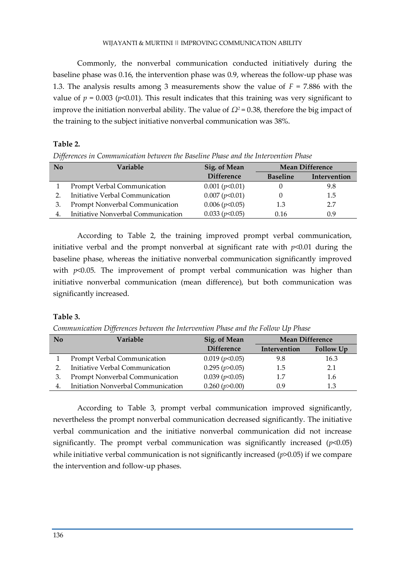Commonly, the nonverbal communication conducted initiatively during the baseline phase was 0.16, the intervention phase was 0.9, whereas the follow-up phase was 1.3. The analysis results among 3 measurements show the value of *F* = 7.886 with the value of  $p = 0.003$  ( $p < 0.01$ ). This result indicates that this training was very significant to improve the initiation nonverbal ability. The value of  $\Omega^2 = 0.38$ , therefore the big impact of the training to the subject initiative nonverbal communication was 38%.

# **Table 2.**

*Differences in Communication between the Baseline Phase and the Intervention Phase*

| No | Variable                              | Sig. of Mean      | <b>Mean Difference</b> |              |
|----|---------------------------------------|-------------------|------------------------|--------------|
|    |                                       | <b>Difference</b> | <b>Baseline</b>        | Intervention |
|    | Prompt Verbal Communication           | 0.001 (p<0.01)    |                        | 9.8          |
|    | Initiative Verbal Communication       | 0.007 (p<0.01)    |                        | 1.5          |
|    | <b>Prompt Nonverbal Communication</b> | 0.006 (p<0.05)    | 1.3                    | 2.7          |
| 4  | Initiative Nonverbal Communication    | 0.033 (p<0.05)    | 0.16                   | 0.9          |

According to Table 2, the training improved prompt verbal communication, initiative verbal and the prompt nonverbal at significant rate with *p*<0.01 during the baseline phase, whereas the initiative nonverbal communication significantly improved with  $p<0.05$ . The improvement of prompt verbal communication was higher than initiative nonverbal communication (mean difference), but both communication was significantly increased.

# **Table 3.**

*Communication Differences between the Intervention Phase and the Follow Up Phase*

| No | Variable                           | Sig. of Mean      | <b>Mean Difference</b> |           |
|----|------------------------------------|-------------------|------------------------|-----------|
|    |                                    | <b>Difference</b> | Intervention           | Follow Up |
|    | Prompt Verbal Communication        | 0.019 (p<0.05)    | 9.8                    | 16.3      |
|    | Initiative Verbal Communication    | 0.295 (p > 0.05)  | 1.5                    | 2.1       |
|    | Prompt Nonverbal Communication     | 0.039 (p<0.05)    | 1.7                    | 1.6       |
| 4. | Initiation Nonverbal Communication | 0.260(p>0.00)     | 0.9                    | 1.3       |

According to Table 3, prompt verbal communication improved significantly, nevertheless the prompt nonverbal communication decreased significantly. The initiative verbal communication and the initiative nonverbal communication did not increase significantly. The prompt verbal communication was significantly increased  $(p<0.05)$ while initiative verbal communication is not significantly increased ( $p$ >0.05) if we compare the intervention and follow-up phases.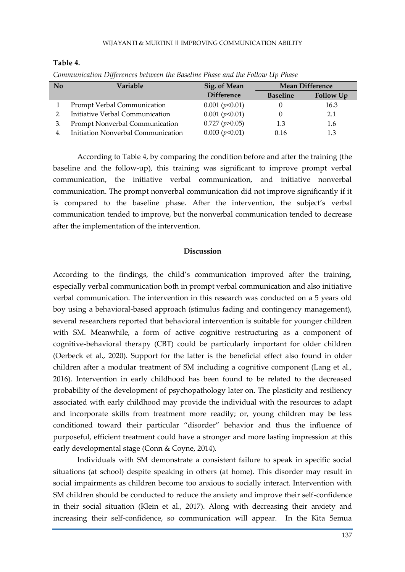# WIJAYANTI & MURTINI || IMPROVING COMMUNICATION ABILITY

| $\bf No$ | Variable                           | Sig. of Mean      | <b>Mean Difference</b> |                  |
|----------|------------------------------------|-------------------|------------------------|------------------|
|          |                                    | <b>Difference</b> | <b>Baseline</b>        | <b>Follow Up</b> |
|          | Prompt Verbal Communication        | 0.001 (p<0.01)    |                        | 16.3             |
|          | Initiative Verbal Communication    | 0.001 (p<0.01)    |                        | 2.1              |
|          | Prompt Nonverbal Communication     | 0.727 (p > 0.05)  | 1.3                    | 1.6              |
| 4.       | Initiation Nonverbal Communication | 0.003 (p<0.01)    | 0.16                   | 1.3              |

# **Table 4.**

*Communication Differences between the Baseline Phase and the Follow Up Phase*

According to Table 4, by comparing the condition before and after the training (the baseline and the follow-up), this training was significant to improve prompt verbal communication, the initiative verbal communication, and initiative nonverbal communication. The prompt nonverbal communication did not improve significantly if it is compared to the baseline phase. After the intervention, the subject's verbal communication tended to improve, but the nonverbal communication tended to decrease after the implementation of the intervention.

# **Discussion**

According to the findings, the child's communication improved after the training, especially verbal communication both in prompt verbal communication and also initiative verbal communication. The intervention in this research was conducted on a 5 years old boy using a behavioral-based approach (stimulus fading and contingency management), several researchers reported that behavioral intervention is suitable for younger children with SM. Meanwhile, a form of active cognitive restructuring as a component of cognitive-behavioral therapy (CBT) could be particularly important for older children (Oerbeck et al., 2020). Support for the latter is the beneficial effect also found in older children after a modular treatment of SM including a cognitive component (Lang et al., 2016). Intervention in early childhood has been found to be related to the decreased probability of the development of psychopathology later on. The plasticity and resiliency associated with early childhood may provide the individual with the resources to adapt and incorporate skills from treatment more readily; or, young children may be less conditioned toward their particular "disorder" behavior and thus the influence of purposeful, efficient treatment could have a stronger and more lasting impression at this early developmental stage (Conn & Coyne, 2014).

Individuals with SM demonstrate a consistent failure to speak in specific social situations (at school) despite speaking in others (at home). This disorder may result in social impairments as children become too anxious to socially interact. Intervention with SM children should be conducted to reduce the anxiety and improve their self-confidence in their social situation (Klein et al., 2017). Along with decreasing their anxiety and increasing their self-confidence, so communication will appear. In the Kita Semua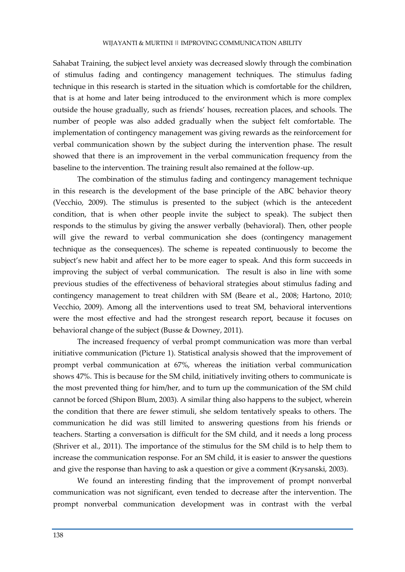Sahabat Training, the subject level anxiety was decreased slowly through the combination of stimulus fading and contingency management techniques. The stimulus fading technique in this research is started in the situation which is comfortable for the children, that is at home and later being introduced to the environment which is more complex outside the house gradually, such as friends' houses, recreation places, and schools. The number of people was also added gradually when the subject felt comfortable. The implementation of contingency management was giving rewards as the reinforcement for verbal communication shown by the subject during the intervention phase. The result showed that there is an improvement in the verbal communication frequency from the baseline to the intervention. The training result also remained at the follow-up.

The combination of the stimulus fading and contingency management technique in this research is the development of the base principle of the ABC behavior theory (Vecchio, 2009). The stimulus is presented to the subject (which is the antecedent condition, that is when other people invite the subject to speak). The subject then responds to the stimulus by giving the answer verbally (behavioral). Then, other people will give the reward to verbal communication she does (contingency management technique as the consequences). The scheme is repeated continuously to become the subject's new habit and affect her to be more eager to speak. And this form succeeds in improving the subject of verbal communication. The result is also in line with some previous studies of the effectiveness of behavioral strategies about stimulus fading and contingency management to treat children with SM (Beare et al., 2008; Hartono, 2010; Vecchio, 2009). Among all the interventions used to treat SM, behavioral interventions were the most effective and had the strongest research report, because it focuses on behavioral change of the subject (Busse & Downey, 2011).

The increased frequency of verbal prompt communication was more than verbal initiative communication (Picture 1). Statistical analysis showed that the improvement of prompt verbal communication at 67%, whereas the initiation verbal communication shows 47%. This is because for the SM child, initiatively inviting others to communicate is the most prevented thing for him/her, and to turn up the communication of the SM child cannot be forced (Shipon Blum, 2003). A similar thing also happens to the subject, wherein the condition that there are fewer stimuli, she seldom tentatively speaks to others. The communication he did was still limited to answering questions from his friends or teachers. Starting a conversation is difficult for the SM child, and it needs a long process (Shriver et al., 2011). The importance of the stimulus for the SM child is to help them to increase the communication response. For an SM child, it is easier to answer the questions and give the response than having to ask a question or give a comment (Krysanski, 2003).

We found an interesting finding that the improvement of prompt nonverbal communication was not significant, even tended to decrease after the intervention. The prompt nonverbal communication development was in contrast with the verbal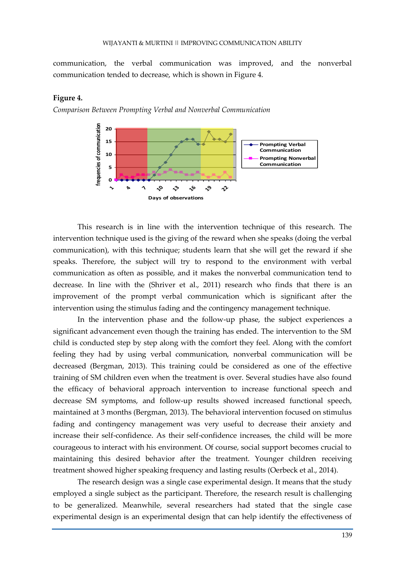communication, the verbal communication was improved, and the nonverbal communication tended to decrease, which is shown in Figure 4.

# **Figure 4.**

*Comparison Between Prompting Verbal and Nonverbal Communication*



This research is in line with the intervention technique of this research. The intervention technique used is the giving of the reward when she speaks (doing the verbal communication), with this technique; students learn that she will get the reward if she speaks. Therefore, the subject will try to respond to the environment with verbal communication as often as possible, and it makes the nonverbal communication tend to decrease. In line with the (Shriver et al., 2011) research who finds that there is an improvement of the prompt verbal communication which is significant after the intervention using the stimulus fading and the contingency management technique.

In the intervention phase and the follow-up phase, the subject experiences a significant advancement even though the training has ended. The intervention to the SM child is conducted step by step along with the comfort they feel. Along with the comfort feeling they had by using verbal communication, nonverbal communication will be decreased (Bergman, 2013). This training could be considered as one of the effective training of SM children even when the treatment is over. Several studies have also found the efficacy of behavioral approach intervention to increase functional speech and decrease SM symptoms, and follow-up results showed increased functional speech, maintained at 3 months (Bergman, 2013). The behavioral intervention focused on stimulus fading and contingency management was very useful to decrease their anxiety and increase their self-confidence. As their self-confidence increases, the child will be more courageous to interact with his environment. Of course, social support becomes crucial to maintaining this desired behavior after the treatment. Younger children receiving treatment showed higher speaking frequency and lasting results (Oerbeck et al., 2014).

The research design was a single case experimental design. It means that the study employed a single subject as the participant. Therefore, the research result is challenging to be generalized. Meanwhile, several researchers had stated that the single case experimental design is an experimental design that can help identify the effectiveness of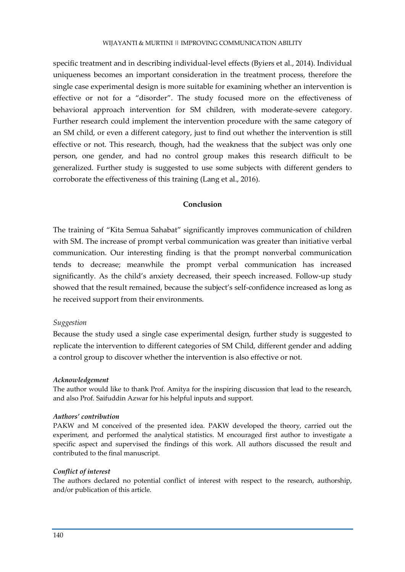specific treatment and in describing individual-level effects (Byiers et al., 2014). Individual uniqueness becomes an important consideration in the treatment process, therefore the single case experimental design is more suitable for examining whether an intervention is effective or not for a "disorder". The study focused more on the effectiveness of behavioral approach intervention for SM children, with moderate-severe category. Further research could implement the intervention procedure with the same category of an SM child, or even a different category, just to find out whether the intervention is still effective or not. This research, though, had the weakness that the subject was only one person, one gender, and had no control group makes this research difficult to be generalized. Further study is suggested to use some subjects with different genders to corroborate the effectiveness of this training (Lang et al., 2016).

# **Conclusion**

The training of "Kita Semua Sahabat" significantly improves communication of children with SM. The increase of prompt verbal communication was greater than initiative verbal communication. Our interesting finding is that the prompt nonverbal communication tends to decrease; meanwhile the prompt verbal communication has increased significantly. As the child's anxiety decreased, their speech increased. Follow-up study showed that the result remained, because the subject's self-confidence increased as long as he received support from their environments.

# *Suggestion*

Because the study used a single case experimental design, further study is suggested to replicate the intervention to different categories of SM Child, different gender and adding a control group to discover whether the intervention is also effective or not.

#### *Acknowledgement*

The author would like to thank Prof. Amitya for the inspiring discussion that lead to the research, and also Prof. Saifuddin Azwar for his helpful inputs and support.

# *Authors' contribution*

PAKW and M conceived of the presented idea. PAKW developed the theory, carried out the experiment, and performed the analytical statistics. M encouraged first author to investigate a specific aspect and supervised the findings of this work. All authors discussed the result and contributed to the final manuscript.

# *Conflict of interest*

The authors declared no potential conflict of interest with respect to the research, authorship, and/or publication of this article.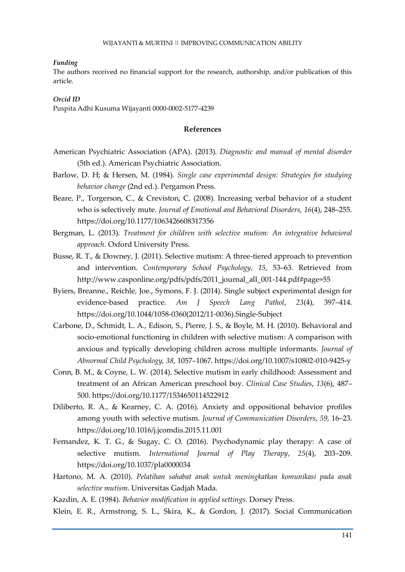#### *Funding*

The authors received no financial support for the research, authorship, and/or publication of this article.

## *Orcid ID*

Puspita Adhi Kusuma Wijayanti 0000-0002-5177-4239

## **References**

- American Psychiatric Association (APA). (2013). *Diagnostic and manual of mental disorder* (5th ed.). American Psychiatric Association.
- Barlow, D. H; & Hersen, M. (1984). *Single case experimental design: Strategies for studying behavior change* (2nd ed.). Pergamon Press.
- Beare, P., Torgerson, C., & Creviston, C. (2008). Increasing verbal behavior of a student who is selectively mute. *Journal of Emotional and Behavioral Disorders*, *16*(4), 248–255. https://doi.org/10.1177/1063426608317356
- Bergman, L. (2013). *Treatment for children with selective mutism: An integrative behavioral approach*. Oxford University Press.
- Busse, R. T., & Downey, J. (2011). Selective mutism: A three-tiered approach to prevention and intervention. *Contemporary School Psychology*, *15*, 53–63. Retrieved from http://www.casponline.org/pdfs/pdfs/2011\_journal\_all\_001-144.pdf#page=55
- Byiers, Breanne., Reichle, Joe., Symons, F. J. (2014). Single subject experimental design for evidence-based practice. *Am J Speech Lang Pathol*, *23*(4), 397–414. https://doi.org/10.1044/1058-0360(2012/11-0036).Single-Subject
- Carbone, D., Schmidt, L. A., Edison, S., Pierre, J. S., & Boyle, M. H. (2010). Behavioral and socio-emotional functioning in children with selective mutism: A comparison with anxious and typically developing children across multiple informants. *Journal of Abnormal Child Psychology, 38*, 1057–1067. https://doi.org/10.1007/s10802-010-9425-y
- Conn, B. M., & Coyne, L. W. (2014). Selective mutism in early childhood: Assessment and treatment of an African American preschool boy. *Clinical Case Studies*, *13*(6), 487– 500. https://doi.org/10.1177/1534650114522912
- Diliberto, R. A., & Kearney, C. A. (2016). Anxiety and oppositional behavior profiles among youth with selective mutism. *Journal of Communication Disorders*, *59*, 16–23. https://doi.org/10.1016/j.jcomdis.2015.11.001
- Fernandez, K. T. G., & Sugay, C. O. (2016). Psychodynamic play therapy: A case of selective mutism. *International Journal of Play Therapy*, *25*(4), 203–209. https://doi.org/10.1037/pla0000034
- Hartono, M. A. (2010). *Pelatihan sahabat anak untuk meningkatkan komunikasi pada anak selective mutism*. Universitas Gadjah Mada.
- Kazdin, A. E. (1984). *Behavior modification in applied settings*. Dorsey Press.
- Klein, E. R., Armstrong, S. L., Skira, K., & Gordon, J. (2017). Social Communication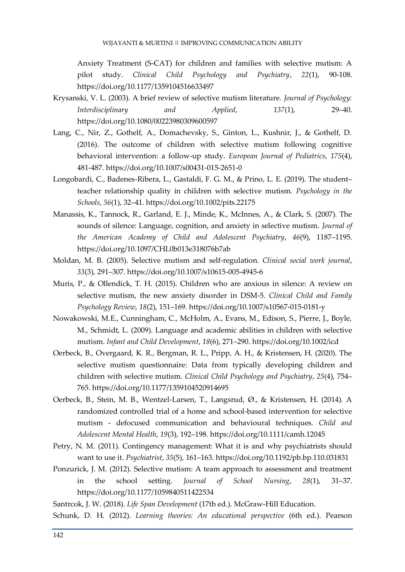Anxiety Treatment (S-CAT) for children and families with selective mutism: A pilot study. *Clinical Child Psychology and Psychiatry*, *22*(1), 90-108. https://doi.org/10.1177/1359104516633497

- Krysanski, V. L. (2003). A brief review of selective mutism literature. *Journal of Psychology: Interdisciplinary and Applied*, *137*(1), 29–40. https://doi.org/10.1080/00223980309600597
- Lang, C., Nir, Z., Gothelf, A., Domachevsky, S., Ginton, L., Kushnir, J., & Gothelf, D. (2016). The outcome of children with selective mutism following cognitive behavioral intervention: a follow-up study. *European Journal of Pediatrics*, *175*(4), 481-487. https://doi.org/10.1007/s00431-015-2651-0
- Longobardi, C., Badenes-Ribera, L., Gastaldi, F. G. M., & Prino, L. E. (2019). The student– teacher relationship quality in children with selective mutism. *Psychology in the Schools*, *56*(1), 32–41. https://doi.org/10.1002/pits.22175
- Manassis, K., Tannock, R., Garland, E. J., Minde, K., McInnes, A., & Clark, S. (2007). The sounds of silence: Language, cognition, and anxiety in selective mutism. *Journal of the American Academy of Child and Adolescent Psychiatry*, *46*(9), 1187–1195. https://doi.org/10.1097/CHI.0b013e318076b7ab
- Moldan, M. B. (2005). Selective mutism and self-regulation. *Clinical social work journal*, *33*(3), 291–307. https://doi.org/10.1007/s10615-005-4945-6
- Muris, P., & Ollendick, T. H. (2015). Children who are anxious in silence: A review on selective mutism, the new anxiety disorder in DSM-5. *Clinical Child and Family Psychology Review*, *18*(2), 151–169. https://doi.org/10.1007/s10567-015-0181-y
- Nowakowski, M.E., Cunningham, C., McHolm, A., Evans, M., Edison, S., Pierre, J., Boyle, M., Schmidt, L. (2009). Language and academic abilities in children with selective mutism. *Infant and Child Development*, *18*(6), 271–290. https://doi.org/10.1002/icd
- Oerbeck, B., Overgaard, K. R., Bergman, R. L., Pripp, A. H., & Kristensen, H. (2020). The selective mutism questionnaire: Data from typically developing children and children with selective mutism. *Clinical Child Psychology and Psychiatry*, *25*(4), 754– 765. https://doi.org/10.1177/1359104520914695
- Oerbeck, B., Stein, M. B., Wentzel-Larsen, T., Langsrud, Ø., & Kristensen, H. (2014). A randomized controlled trial of a home and school-based intervention for selective mutism - defocused communication and behavioural techniques. *Child and Adolescent Mental Health*, *19*(3), 192–198. https://doi.org/10.1111/camh.12045
- Petry, N. M. (2011). Contingency management: What it is and why psychiatrists should want to use it. *Psychiatrist*, *35*(5), 161–163. https://doi.org/10.1192/pb.bp.110.031831
- Ponzurick, J. M. (2012). Selective mutism: A team approach to assessment and treatment in the school setting. *Journal of School Nursing*, *28*(1), 31–37. https://doi.org/10.1177/1059840511422534

Santrcok, J. W. (2018). *Life Span Development* (17th ed.). McGraw-Hill Education.

Schunk, D. H. (2012). *Learning theories: An educational perspective* (6th ed.). Pearson